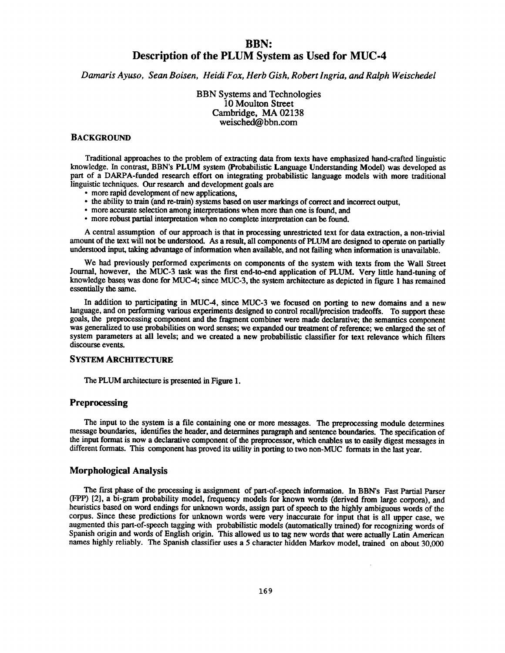# **BBN: Description of the PLUM System as Used for MUC- 4**

*Damaris Ayuso, Sean Boisen, Heidi Fox, Herb Gish, Robert Ingria, and Ralph Weischede l*

BBN Systems and Technologies 10 Moulton Street Cambridge, MA 02138 weisched@bbn.com

#### **BACKGROUND**

Traditional approaches to the problem of extracting data from texts have emphasized hand-crafted linguistic knowledge. In contrast, BBN's PLUM system (Probabilistic Language Understanding Model) was developed as part of a DARPA-funded research effort on integrating probabilistic **language** models with more traditional linguistic techniques. Our research and development goals are

- more rapid development of new applications,
- the ability to train (and re-train) systems based on user markings of correct **and** incorrect output,
- more accurate selection among interpretations when more than one is found, and
- more robust partial **interpretation** when no complete interpretation can be found.

A central assumption of our approach is that in processing unrestricted text for data extraction, a non-trivia <sup>l</sup> amount of the text will not be **understood.** As a result, all components of PLUM **are designed** to operate **on partially understood input, taking advantage of information when available, and not failing when information is unavailable .**

We had previously performed experiments on components of the system with texts from the Wall Street Journal, however, the MUC-3 task was the first **end-to-end application** of PLUM. Very little **hand-tuning** of knowledge bases was done for MUC-4 ; since MUC-3, the system architecture as depicted in figure 1 has remained essentially the same.

In addition to **participating** in MUC-4, since MUC-3 we **focused on porting** to new **domains and** a new language, and on performing various experiments designed to control recall/precision tradeoffs. To support these goals, the **preprocessing** component **and** the fragment combiner were made **declarative;** the semantics component was generalized to use probabilities on word senses; we expanded our treatment of reference; we enlarged the set of system parameters at all levels; and we created a new **probabilistic** classifier for text relevance which filters discourse events.

## **SYSTEM ARCHITECTURE**

The PLUM **architecture is presented in Figure 1 .**

#### **Preprocessing**

**The input to the system is a file containing one or more messages. The preprocessing module determines message boundaries, identifies the header, and determines paragraph and sentence boundaries. The specification of the input format is now a declarative component of the preprocessor, which enables us to easily digest messages in different formats. This component has proved its utility in porting to two non-MUC formats in the last year .**

#### **Morphological Analysis**

The first phase of the processing is assignment of part-of-speech information. In BBN's Fast Partial Parser (FPP) [2], a bi-gram probability model, frequency models for known words (derived from large corpora), and heuristics based on word endings for unknown words, assign part of speech to the highly ambiguous words of the corpus. Since these predictions for unknown words were very inaccurate for input that is all upper case, we augmented this part-of-speech tagging with probabilistic models (automatically trained) for recognizing words of Spanish origin and words of English origin. This allowed us to tag new words that were actually Latin American names highly reliably. The Spanish classifier uses a 5 character hidden Markov model, trained on about 30,000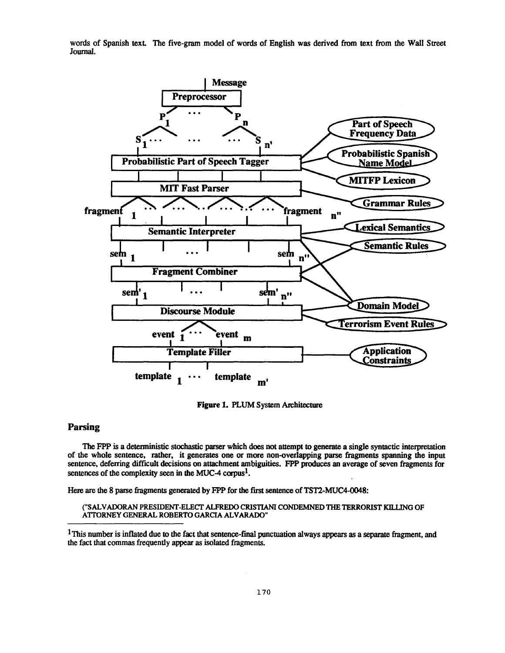words of Spanish text. The five-gram model of words of English was derived from text from the Wall Street **Journal .**



**Figure 1. PLUM System Architecture** 

# **Parsing**

**The FPP is a deterministic stochastic parser which does not attempt to generate a single syntactic interpretation** of the whole sentence, rather, it generates one or more non-overlapping parse fragments spanning the input **sentence, deferring difficult decisions on attachment ambiguities . FPP produces an average of seven fragments for sentences of the complexity seen in the MUC-4 corpus' .**

**Here are the 8 parse fragments generated by FPP for the first sentence of TST2-MUC4-0048 :**

**("SALVADORAN PRESIDENT-ELECT ALFREDO CRISTIANI CONDEMNED THE TERRORIST KILLING O F ATTORNEY GENERAL ROBERTO GARCIA ALVARADO"**

<sup>1</sup>This number is inflated due to the fact that sentence-final punctuation always appears as a separate fragment, and **the fact that commas frequently appear as isolated fragments.**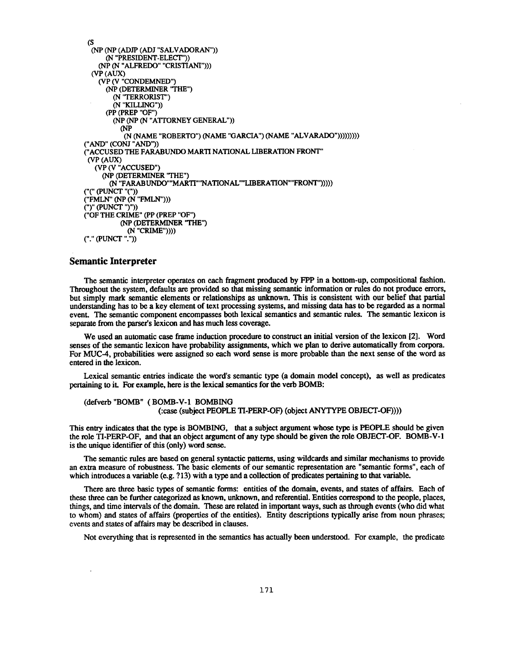```
(s
  (NP (NP (ADJP (ADJ "SALVADORAN") )
     (N "PRESIDENT-ELECT") )
    (NP (N "ALFREDO" "CRISTIANI")) )
  (VP (AUX)
   (VP (V "CONDEMNED")
      (NP (DETERMINER 'THE" )
       (N 'TERRORIST" )
       (N "KILLING") )
      (PP (PREP "OF")
       (NP (NP (N "ATTORNEY GENERAL"))
         CNP
          (N (NAME "ROBERTO") (NAME "GARCIA") (NAME "ALVARADO")))))))))
("AND" (CONJ "AND"))
("ACCUSED THE FARABUNDO MARTI NATIONAL LIBERATION FRONT"
 (VP (AUX)
  (VP (V "ACCUSED" )
    (NP (DETERMINER 'THE" )
      (N "FARABUNDO""MARTI"'NATIONAL""LIBERATION""FRONT")))) )
(PUNCT "("))
("FMLN" (NP (N "FMLN")))
(")" (PUNCT ")"))
("OF THE CRIME" (PP (PREP "OF" )
         (NP (DETERMINER 'THE")
           (N "CRIME"))))
("." (PUNCT".")
```
## **Semantic Interpreter**

**The semantic interpreter operates on each fragment produced by FPP in a bottom-up, compositional fashion . Throughout the system, defaults are provided so that missing semantic information or rules do not produce errors , but simply mark semantic elements or relationships as unknown . This is consistent with our belief that partial understanding has to be a key element of text processing systems, and missing data has to be regarded as a normal event. The semantic component encompasses both lexical semantics and semantic rules . The semantic lexicon is** separate from the parser's lexicon and has much less coverage.

**We used an automatic case frame induction procedure to construct an initial version of the lexicon [2] . Word senses of the semantic lexicon have probability assignments, which we plan to derive automatically from corpora .** For MUC-4, probabilities were assigned so each word sense is more probable than the next sense of the word as **entered in the lexicon.**

Lexical semantic entries indicate the word's semantic type (a domain model concept), as well as predicates **pertaining to it. For example, here is the lexical semantics for the verb BOMB :**

```
(defverb "BOMB" ( BOMB-V-1 BOMBING
                  (:case (subject PEOPLE TI-PERP-OF) (object ANYTYPE OBJECT-OF))) )
```
This entry indicates that the type is **BOMBING, that** a **subject argument whose type** is PEOPLE **should** be **given** the role TI-PERP-OF, **and** that an object **argument** of **any type should** be **given the role** OBJECT-OF. **BOMB-V- <sup>1</sup>** is **the unique identifier** of this (only) word sense.

The semantic rules are based on general syntactic patterns, using wildcards **and** similar mechanisms to provide an extra measure of robustness . The basic elements of our semantic **representation** are **"semantic** forms", **each** of which introduces a variable (e.g. ?13) with a type and a collection of predicates pertaining to that variable.

**There are three basic types of** semantic forms: **entities** of the **domain, events, and** states of **affairs.** Each of these three can be further categorized as known, unknown, and referential. Entities correspond to the people, places, things, and time intervals of the domain. These are related in important ways, such as through events (who did what to whom) and states of affairs (properties of the entities) . Entity descriptions typically arise from noun phrases; events and states of affairs may be described in clauses.

Not everything that is represented in the semantics has actually been understood. For example, the predicate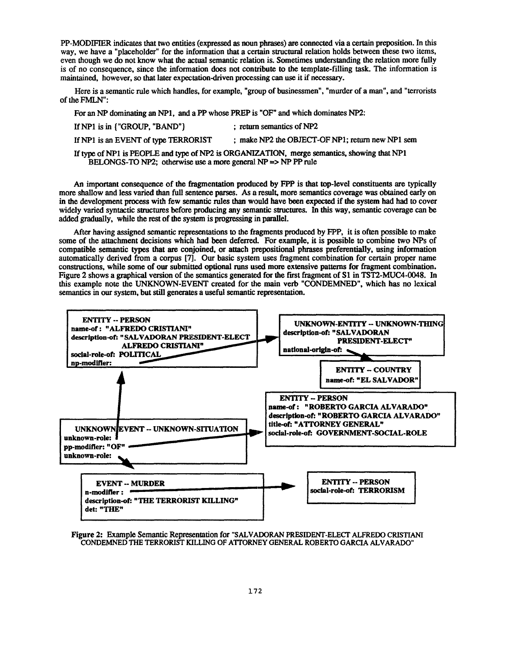PP-MODIFIER indicates that two entities (expressed as noun phrases) are connected via a certain preposition . In this way, we have a "placeholder" for the information that a certain structural relation holds between these two items, even though we do not know what the actual semantic relation is. Sometimes understanding the relation more fully is of no consequence, since the information does not contribute to the template-filling task. The information is maintained, however, so that later **expectation-driven** processing can use it if necessary .

Here is a semantic rule which handles, for example, "group of**businessmen** " **,** "murder of a man", and "terrorists of the FMLN":

For an NP dominating an NP1, and a PP whose PREP is "OF" and which dominates NP2:

| If $NP1$ is in ${^{\circ}GROUP}$ , $^{\circ}BAND^{\circ}$                | ; return semantics of NP2                                                                   |
|--------------------------------------------------------------------------|---------------------------------------------------------------------------------------------|
| If NP1 is an EVENT of type TERRORIST                                     | : make NP2 the OBJECT-OF NP1; return new NP1 sem                                            |
| BELONGS-TO NP2; otherwise use a more general NP $\Rightarrow$ NP PP rule | If type of NP1 is PEOPLE and type of NP2 is ORGANIZATION, merge semantics, showing that NP1 |

An **important consequence** of the **fragmentation produced** by FPP is that **top-level constituents** are typically more shallow and less varied than full sentence parses. As a result, more semantics coverage was obtained early on in the **development** process with few semantic rules **than** would **have** been **expected** if the system **had had** to **cover** widely varied syntactic structures before **producing any** semantic structures. In this way, semantic coverage can be added **gradually,** while the rest of the system is **progressing** in **parallel.**

After having assigned semantic representations to the fragments **produced** by FPP, it is often possible to mak e some of the attachment decisions which had been deferred. For example, it is possible to combine two NPs of **compatible semantic types that are conjoined, or attach prepositional phrases preferentially, using informatio n** automatically derived from a corpus [7]. Our basic system uses fragment combination for certain proper name **constructions, while some of our submitted optional runs used more extensive patterns for fragment combination.** Figure 2 shows a **graphical** version of the semantics generated for the first **fragment** of S1 in **TST2-MUC4-0048 .** In this example note the UNKNOWN-EVENT created for the main verb "CONDEMNED", which has no lexica <sup>l</sup> semantics in our system, but still generates a useful semantic representation.



**Figure 2: Example** Semantic Representation for "SALVADORAN **PRESIDENT-ELECT** ALFREDO CRISTIANI CONDEMNED THE TERRORIST KILLING OF ATTORNEY GENERAL ROBERTO GARCIA ALVARADO"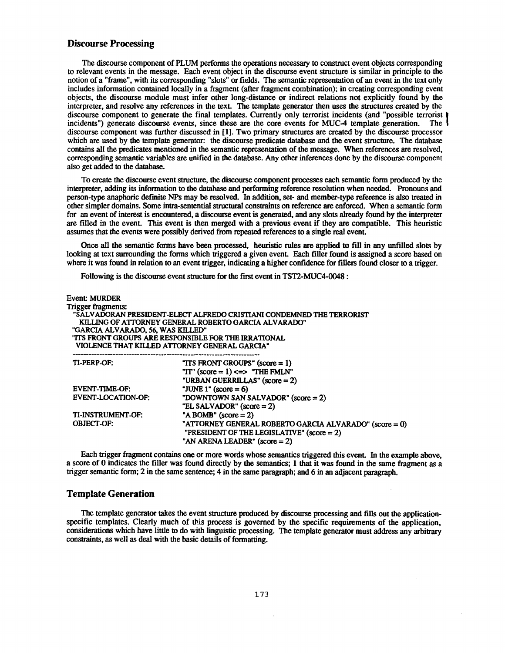#### **Discourse Processing**

The discourse component of PLUM performs the operations necessary to construct event objects corresponding to relevant events in the message. Each event object in the discourse event structure is similar in principle to the notion of a "frame", with its corresponding "slots" or fields. The semantic representation of an event in the text only includes information contained locally in a fragment (after fragment combination); in creating corresponding event objects, the discourse module must infer other long-distance or indirect relations not explicitly found by the interpreter, and resolve any references in the text. The template generator then uses the structures created by the discourse component to generate the final templates. Currently only terrorist incidents (and "possible terrorist incidents") generate discourse events, since these are the core events for MUC-4 template generation. The incidents") generate discourse events, since these are the core events for MUC-4 template generation. discourse component was further discussed in [1]. Two primary structures are created by the discourse processor which are used by the template generator: the discourse predicate database and the event structure. The database contains all the predicates mentioned in the semantic representation of the message. When references are resolved, corresponding semantic variables are unified in the database. Any other inferences done by the discourse component also get added to the database.

To create the discourse event structure, the discourse component processes each semantic form produced by the interpreter, adding its information to the database and performing reference resolution when needed . Pronouns and person-type anaphoric definite NPs may be resolved. In addition, set- and member-type reference is also treated in other simpler domains. Some intra-sentential structural constraints on reference are enforced. When a semantic form for an event of interest is encountered, a discourse event is generated, and any slots already found by the interpreter are filled in the event. This event is then merged with a **previous** event if they are compatible . This heuristic assumes that the events were possibly derived from repeated references to a single real event.

Once all the semantic forms **have** been processed, heuristic rules are **applied** to fill in **any unfilled** slots **by** looking at text surrounding the forms which triggered a given event. Each filler found is assigned a score based on **where it was found in relation to an event trigger, indicating a higher confidence for fillers found closer to a trigger.**

Following is **the discourse** event **structure** for the first **event in TST2-MUC4-0048 :**

| Event: MURDER                                        |                                                                       |  |
|------------------------------------------------------|-----------------------------------------------------------------------|--|
| Trigger fragments:                                   |                                                                       |  |
|                                                      | "SALVADORAN PRESIDENT-ELECT ALFREDO CRISTIANI CONDEMNED THE TERRORIST |  |
| KILLING OF ATTORNEY GENERAL ROBERTO GARCIA ALVARADO" |                                                                       |  |
| "GARCIA ALVARADO, 56, WAS KILLED"                    |                                                                       |  |
|                                                      | "ITS FRONT GROUPS ARE RESPONSIBLE FOR THE IRRATIONAL                  |  |
|                                                      | VIOLENCE THAT KILLED ATTORNEY GENERAL GARCIA"                         |  |
|                                                      |                                                                       |  |
| TI-PERP-OF:                                          | "ITS FRONT GROUPS" $(score = 1)$                                      |  |
|                                                      | "IT" $(score = 1) \le s$ "THE FMLN"                                   |  |
|                                                      | "URBAN GUERRILLAS" (score = 2)                                        |  |
| <b>EVENT-TIME-OF:</b>                                | "JUNE 1" (score = $6$ )                                               |  |
| <b>EVENT-LOCATION-OF:</b>                            | "DOWNTOWN SAN SALVADOR" $(\text{score} = 2)$                          |  |
|                                                      | "EL SALVADOR" $(score = 2)$                                           |  |
| TI-INSTRUMENT-OF:                                    | "A BOMB" $(score = 2)$                                                |  |
| <b>OBJECT-OF:</b>                                    | "ATTORNEY GENERAL ROBERTO GARCIA ALVARADO" (score = 0)                |  |
|                                                      | "PRESIDENT OF THE LEGISLATIVE" $(score = 2)$                          |  |
|                                                      | "AN ARENA LEADER" $(score = 2)$                                       |  |
|                                                      |                                                                       |  |

Each trigger fragment contains one or more words whose semantics triggered this event. In the example above, a score of 0 indicates the filler was found directly by the semantics ; 1 that it was found in the same fragment as a trigger semantic form; 2 in the same sentence; 4 in the same paragraph; and 6 in an adjacent paragraph.

#### **Template Generation**

The template generator takes the event structure **produced** by discourse processing **and** fills out the application specific templates. Clearly much of this process is governed by the specific requirements of the application, considerations which have little to do with linguistic processing. The template generator must address any arbitrary constraints, as well as deal with the basic details of formatting .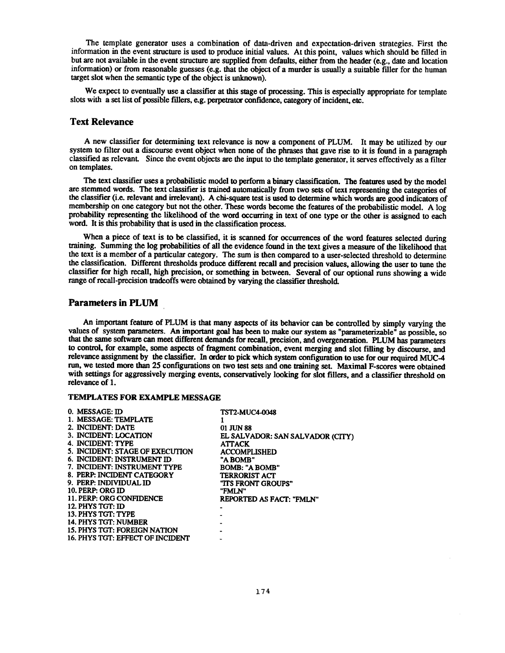The template generator uses a combination of data-driven and expectation-driven strategies. First the information in the event structure is used to produce initial values. At this point, values which should be filled in but are not available in the event structure are supplied from defaults, either from the header (e .g., date and location information) or from reasonable guesses (e.g. that the object of a murder is usually a suitable filler for the human target slot when the semantic type of the object is **unknown).**

We expect to **eventually** use a classifier at this stage of processing. This is especially appropriate for template slots with a set list of possible fillers, e .g. **perpetrator confidence, category** of incident, etc.

## **Text Relevance**

A new classifier for determining text relevance is now a component of PLUM. It may be utilized by our system to filter **out** a discourse event object **when none** of the **phrases that gave** rise to it is found **in** a **paragraph** classified as relevant. Since the event objects are the input to the template generator, it serves effectively as a filter on templates.

The text classifier uses **a probabilistic** model **to** perform **a binary classification .** The features **used by the** model are stemmed words. The text classifier is trained **automatically** from **two** sets **of** text **representing** the categories **of** the classifier (i .e . **relevant and irrelevant).** A **chi-square** test is **used to** determine which words are **good** indicators of **membership on one category but not the** other. These words become the features **of the probabilistic** model. A log **probability representing the likelihood of the word occurring in text of one type or the other is assigned to eac h** word. **It** is this **probability that** is **used in** the classification process.

When a piece of text is to be classified, it is scanned for occurrences of the word features selected during **training. Summing the log probabilities of** all **the evidence found** in **the** text gives a measure of the likelihood that the text is a member of a particular category. The sum is then compared to a user-selected threshold to determine the classification. Different **thresholds produce** different recall **and precision values, allowing the** user **to tune** the classifier for **high** recall, **high precision,** or **something in** between. Several **of** our **optional runs showing** a wide range of recall-precision tradeoffs were obtained **by varying the** classifier **threshold.**

#### **Parameters in PLUM**

An important feature of PLUM is that many aspects of its behavior can be controlled by simply varying the **values of system parameters. An important goal has been to make our system as "parameterizable" as possible, so that the same software can meet different demands for recall, precision, and overgeneration . PLUM has parameters** to control, for example, some aspects of fragment combination, event merging and slot filling by discourse, and **relevance assignment by the classifier. In order to pick which system configuration to use for our required** MUC- <sup>4</sup> run, we tested more **than** 25 **configurations on** two test sets **and one training** set. **Maximal** F-scores were **obtained** with settings for **aggressively** merging events, **conservatively looking** for slot fillers, **and** a classifier threshold on relevance of 1.

#### **TEMPLATES FOR EXAMPLE MESSAGE**

| 0. MESSAGE: ID                   | <b>TST2-MUC4-0048</b>            |
|----------------------------------|----------------------------------|
| 1. MESSAGE: TEMPLATE             |                                  |
| 2. INCIDENT: DATE                | 01 JUN 88                        |
| 3. INCIDENT: LOCATION            | EL SALVADOR: SAN SALVADOR (CITY) |
| 4. INCIDENT: TYPE                | <b>ATTACK</b>                    |
| 5. INCIDENT: STAGE OF EXECUTION  | <b>ACCOMPLISHED</b>              |
| 6. INCIDENT: INSTRUMENT ID.      | "A BOMB"                         |
| 7. INCIDENT: INSTRUMENT TYPE     | <b>BOMB: "A BOMB"</b>            |
| 8. PERP: INCIDENT CATEGORY       | <b>TERRORIST ACT</b>             |
| 9. PERP: INDIVIDUAL ID           | "ITS FRONT GROUPS"               |
| 10. PERP: ORG ID                 | "FMLN"                           |
| 11. PERP: ORG CONFIDENCE         | REPORTED AS FACT: "FMLN"         |
| 12. PHYS TGT: ID                 |                                  |
| 13. PHYS TGT: TYPE               |                                  |
| 14. PHYS TGT: NUMBER             |                                  |
| 15. PHYS TGT: FOREIGN NATION     |                                  |
| 16. PHYS TGT: EFFECT OF INCIDENT |                                  |
|                                  |                                  |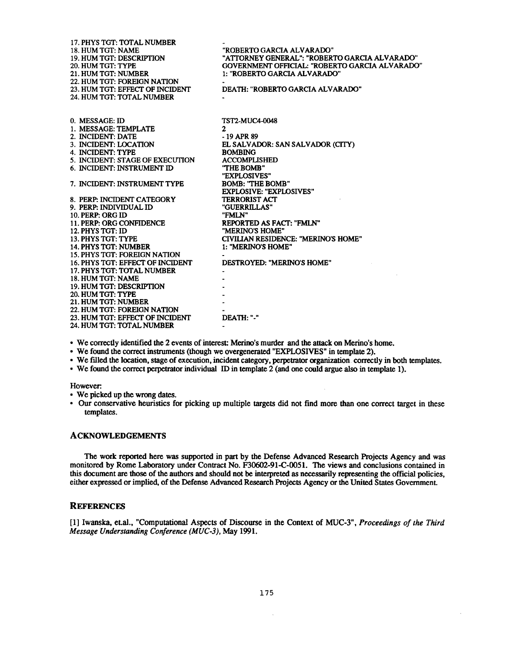| 17. PHYS TGT: TOTAL NUMBER          |                                                |
|-------------------------------------|------------------------------------------------|
| 18. HUM TGT: NAME                   | "ROBERTO GARCIA ALVARADO"                      |
| <b>19. HUM TGT: DESCRIPTION</b>     | "ATTORNEY GENERAL": "ROBERTO GARCIA ALVARADO"  |
| 20. HUM TGT: TYPE                   | GOVERNMENT OFFICIAL: "ROBERTO GARCIA ALVARADO" |
| 21. HUM TGT: NUMBER                 | 1: "ROBERTO GARCIA ALVARADO"                   |
| 22. HUM TGT: FOREIGN NATION         |                                                |
| 23. HUM TGT: EFFECT OF INCIDENT     | DEATH: "ROBERTO GARCIA ALVARADO"               |
| 24. HUM TGT: TOTAL NUMBER           |                                                |
|                                     |                                                |
|                                     |                                                |
| 0. MESSAGE: ID                      | <b>TST2-MUC4-0048</b>                          |
| 1. MESSAGE: TEMPLATE                | $\mathbf{2}$                                   |
| 2. INCIDENT: DATE                   | $-19$ APR 89                                   |
| 3. INCIDENT: LOCATION               | EL SALVADOR: SAN SALVADOR (CITY)               |
| 4. INCIDENT: TYPE                   | <b>BOMBING</b>                                 |
| 5. INCIDENT: STAGE OF EXECUTION     | <b>ACCOMPLISHED</b>                            |
| 6. INCIDENT: INSTRUMENT ID          | "THE BOMB"                                     |
|                                     | "EXPLOSIVES"                                   |
| 7. INCIDENT: INSTRUMENT TYPE        | <b>BOMB: "THE BOMB"</b>                        |
|                                     | <b>EXPLOSIVE: "EXPLOSIVES"</b>                 |
| 8. PERP: INCIDENT CATEGORY          | <b>TERRORIST ACT</b>                           |
| 9. PERP: INDIVIDUAL ID              | "GUERRILLAS"                                   |
| 10. PERP: ORG ID                    | "FMLN"                                         |
| 11. PERP: ORG CONFIDENCE            | REPORTED AS FACT: "FMLN"                       |
| 12. PHYS TGT: ID                    | "MERINO'S HOME"                                |
| 13. PHYS TGT: TYPE                  | CIVILIAN RESIDENCE: "MERINO'S HOME"            |
| 14. PHYS TGT: NUMBER                | 1: "MERINO'S HOME"                             |
| <b>15. PHYS TGT: FOREIGN NATION</b> |                                                |
| 16. PHYS TGT: EFFECT OF INCIDENT    | DESTROYED: "MERINO'S HOME"                     |
| 17. PHYS TGT: TOTAL NUMBER          |                                                |
| 18. HUM TGT: NAME                   |                                                |
| 19. HUM TGT: DESCRIPTION            |                                                |
| 20. HUM TGT: TYPE                   |                                                |
| 21. HUM TGT: NUMBER                 |                                                |
| 22. HUM TGT: FOREIGN NATION         |                                                |
| 23. HUM TGT: EFFECT OF INCIDENT     | DEATH: "-"                                     |
| 24. HUM TGT: TOTAL NUMBER           |                                                |
|                                     |                                                |

• We correctly identified the 2 events of interest: Merino's murder and the attack on Merino's home.

- We **found** the correct **instruments (though** we **overgenerated "EXPLOSIVES"** in template 2).
- We filled the **location,** stage of execution, incident **category,** perpetrator **organization** correctly in **both** templates.
- We **found the** correct perpetrator individual ID **in** template 2 (and **one could argue also in** template 1).

However.

- We picked up the wrong dates.
- Our **conservative** heuristics for **picking up** multiple targets **did not** find more than one correct target in thes e templates.

## **ACKNOWLEDGEMENTS**

**The work reported here was supported in part by the Defense Advanced Research Projects Agency and wa s monitored by Rome Laboratory under Contract No . F30602-91-C-0051 . The views and conclusions contained i n this document are those of the authors and should not be interpreted as necessarily representing the official policies , either expressed or implied, of the Defense Advanced Research Projects Agency or the United States Government .**

#### **REFERENCES**

**[1] Iwanska, et.al., "Computational Aspects of Discourse in the Context of MUC-3",** *Proceedings of the Third Message Understanding Conference (MUC-3),* **May 1991 .**